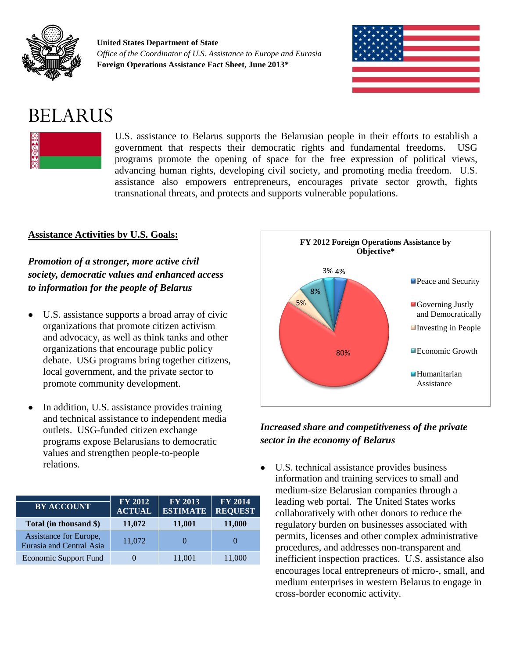

**United States Department of State** *Office of the Coordinator of U.S. Assistance to Europe and Eurasia* **Foreign Operations Assistance Fact Sheet, June 2013\***



# BELARUS



U.S. assistance to Belarus supports the Belarusian people in their efforts to establish a government that respects their democratic rights and fundamental freedoms. USG programs promote the opening of space for the free expression of political views, advancing human rights, developing civil society, and promoting media freedom. U.S. assistance also empowers entrepreneurs, encourages private sector growth, fights transnational threats, and protects and supports vulnerable populations.

## **Assistance Activities by U.S. Goals:**

*Promotion of a stronger, more active civil society, democratic values and enhanced access to information for the people of Belarus*

- U.S. assistance supports a broad array of civic organizations that promote citizen activism and advocacy, as well as think tanks and other organizations that encourage public policy debate. USG programs bring together citizens, local government, and the private sector to promote community development.
- In addition, U.S. assistance provides training and technical assistance to independent media outlets. USG-funded citizen exchange programs expose Belarusians to democratic values and strengthen people-to-people relations.

| <b>BY ACCOUNT</b>                                         | <b>FY 2012</b><br><b>ACTUAL</b> | FY 2013<br><b>ESTIMATE</b> | <b>FY 2014</b><br><b>REQUEST</b> |
|-----------------------------------------------------------|---------------------------------|----------------------------|----------------------------------|
| Total (in thousand \$)                                    | 11,072                          | 11,001                     | 11,000                           |
| Assistance for Europe,<br><b>Eurasia and Central Asia</b> | 11,072                          |                            |                                  |
| <b>Economic Support Fund</b>                              |                                 | 11,001                     | 11,000                           |



## *Increased share and competitiveness of the private sector in the economy of Belarus*

 $\bullet$ U.S. technical assistance provides business information and training services to small and medium-size Belarusian companies through a leading web portal. The United States works collaboratively with other donors to reduce the regulatory burden on businesses associated with permits, licenses and other complex administrative procedures, and addresses non-transparent and inefficient inspection practices. U.S. assistance also encourages local entrepreneurs of micro-, small, and medium enterprises in western Belarus to engage in cross-border economic activity.